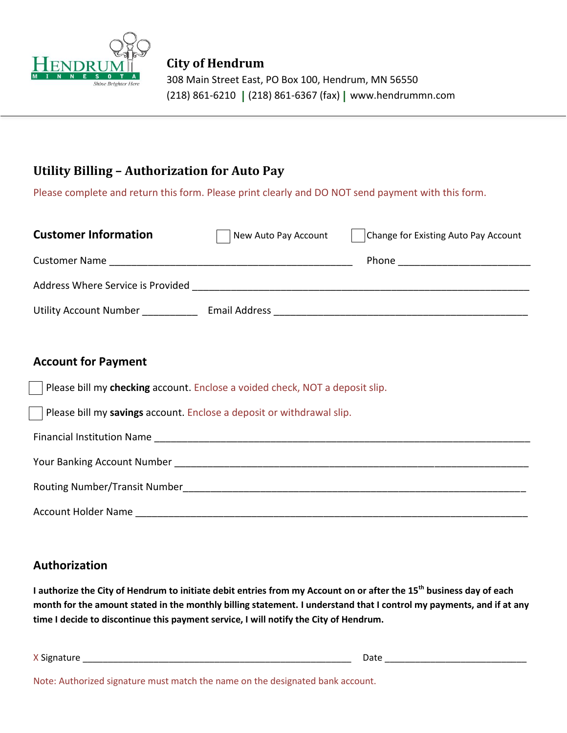

# **Utility Billing – Authorization for Auto Pay**

Please complete and return this form. Please print clearly and DO NOT send payment with this form.

| <b>Customer Information</b>       | New Auto Pay Account | Change for Existing Auto Pay Account |
|-----------------------------------|----------------------|--------------------------------------|
| <b>Customer Name</b>              |                      | <b>Phone</b>                         |
| Address Where Service is Provided |                      |                                      |
| <b>Utility Account Number</b>     | <b>Email Address</b> |                                      |

### **Account for Payment**

Your Banking Account Number \_\_\_\_\_\_\_\_\_\_\_\_\_\_\_\_\_\_\_\_\_\_\_\_\_\_\_\_\_\_\_\_\_\_\_\_\_\_\_\_\_\_\_\_\_\_\_\_\_\_\_\_\_\_\_\_\_\_\_\_\_\_\_\_

Please bill my **checking** account. Enclose a voided check, NOT a deposit slip.

Please bill my **savings** account. Enclose a deposit or withdrawal slip.

Financial Institution Name

| TOUT DATINING ACCOUNT NUMBER         |  |
|--------------------------------------|--|
|                                      |  |
|                                      |  |
|                                      |  |
| <b>Routing Number/Transit Number</b> |  |
|                                      |  |

Account Holder Name **community** and the set of the set of the set of the set of the set of the set of the set of the set of the set of the set of the set of the set of the set of the set of the set of the set of the set of

# **Authorization**

**I authorize the City of Hendrum to initiate debit entries from my Account on or after the 15th business day of each month for the amount stated in the monthly billing statement. I understand that I control my payments, and if at any time I decide to discontinue this payment service, I will notify the City of Hendrum.**

X Signature **Example 2018** and 2018 and 2018 and 2018 and 2018 and 2018 and 2018 and 2018 and 2018 and 2018 and 2018 and 2018 and 2018 and 2018 and 2018 and 2018 and 2018 and 2018 and 2018 and 2018 and 2018 and 2018 and 20

Note: Authorized signature must match the name on the designated bank account.